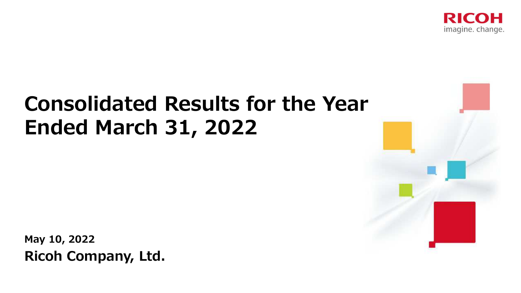

# **Consolidated Results for the YearEnded March 31, 2022**

**May 10, 2022Ricoh Company, Ltd.**

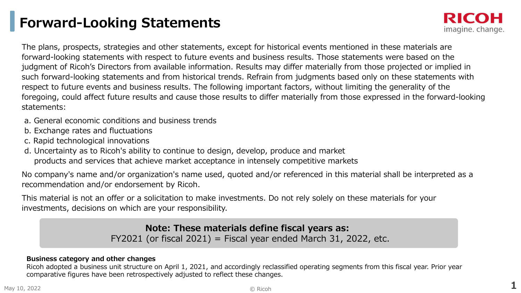### **Forward-Looking Statements**

The plans, prospects, strategies and other statements, except for historical events mentioned in these materials are forward-looking statements with respect to future events and business results. Those statements were based on the judgment of Ricoh's Directors from available information. Results may differ materially from those projected or implied in such forward-looking statements and from historical trends. Refrain from judgments based only on these statements with respect to future events and business results. The following important factors, without limiting the generality of the foregoing, could affect future results and cause those results to differ materially from those expressed in the forward-looking statements:

- a. General economic conditions and business trends
- b. Exchange rates and fluctuations
- c. Rapid technological innovations
- d. Uncertainty as to Ricoh's ability to continue to design, develop, produce and market products and services that achieve market acceptance in intensely competitive markets

No company's name and/or organization's name used, quoted and/or referenced in this material shall be interpreted as a recommendation and/or endorsement by Ricoh.

This material is not an offer or a solicitation to make investments. Do not rely solely on these materials for your investments, decisions on which are your responsibility.

> **Note: These materials define fiscal years as:** FY2021 (or fiscal 2021) = Fiscal year ended March 31, 2022, etc.

#### **Business category and other changes**

Ricoh adopted a business unit structure on April 1, 2021, and accordingly reclassified operating segments from this fiscal year. Prior year<br>comparative figures have been retrospectively adjusted to reflect these changes comparative figures have been retrospectively adjusted to reflect these changes.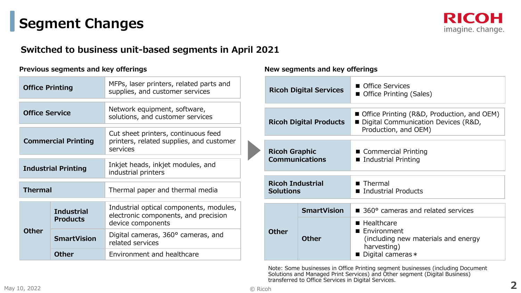### **Segment Changes**

#### **Switched to business unit-based segments in April 2021**

#### **Previous segments and key offerings New segments and key offerings**

| <b>Office Printing</b>     |                                      | MFPs, laser printers, related parts and<br>supplies, and customer services                           |  |  |  |
|----------------------------|--------------------------------------|------------------------------------------------------------------------------------------------------|--|--|--|
| <b>Office Service</b>      |                                      | Network equipment, software,<br>solutions, and customer services                                     |  |  |  |
| <b>Commercial Printing</b> |                                      | Cut sheet printers, continuous feed<br>printers, related supplies, and customer<br>services          |  |  |  |
| <b>Industrial Printing</b> |                                      | Inkjet heads, inkjet modules, and<br>industrial printers                                             |  |  |  |
| <b>Thermal</b>             |                                      | Thermal paper and thermal media                                                                      |  |  |  |
|                            | <b>Industrial</b><br><b>Products</b> | Industrial optical components, modules,<br>electronic components, and precision<br>device components |  |  |  |
| <b>Other</b>               | <b>SmartVision</b>                   | Digital cameras, 360° cameras, and<br>related services                                               |  |  |  |
|                            | <b>Other</b>                         | Environment and healthcare                                                                           |  |  |  |

|                                               | <b>Ricoh Digital Services</b> | ■ Office Services<br>■ Office Printing (Sales)                                                              |
|-----------------------------------------------|-------------------------------|-------------------------------------------------------------------------------------------------------------|
| <b>Ricoh Digital Products</b>                 |                               | ■ Office Printing (R&D, Production, and OEM)<br>Digital Communication Devices (R&D,<br>Production, and OEM) |
| <b>Ricoh Graphic</b><br><b>Communications</b> |                               | ■ Commercial Printing<br>■ Industrial Printing                                                              |
| <b>Ricoh Industrial</b><br><b>Solutions</b>   |                               | $\blacksquare$ Thermal<br>■ Industrial Products                                                             |
|                                               | <b>SmartVision</b>            | 360° cameras and related services                                                                           |
| <b>Other</b>                                  | <b>Other</b>                  | ■ Healthcare<br>■ Environment<br>(including new materials and energy<br>harvesting)<br>Digital cameras *    |

h Note: Some businesses in Office Printing segment businesses (including Document Solutions and Managed Print Services) and Other segment (Digital Business) transferred to Office Services in Digital Services.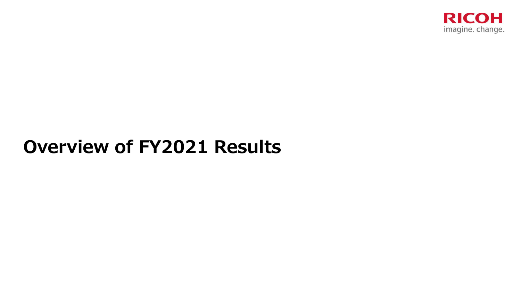

# **Overview of FY2021 Results**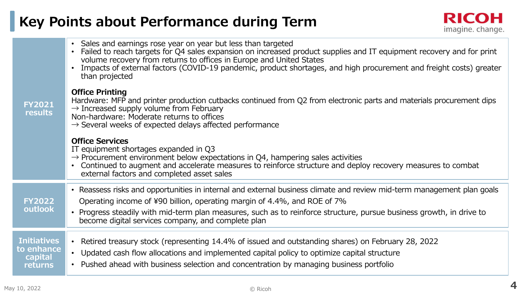### **Key Points about Performance during Term**

| <b>FY2021</b><br>results                               | • Sales and earnings rose year on year but less than targeted<br>Failed to reach targets for Q4 sales expansion on increased product supplies and IT equipment recovery and for print<br>volume recovery from returns to offices in Europe and United States<br>Impacts of external factors (COVID-19 pandemic, product shortages, and high procurement and freight costs) greater<br>than projected |
|--------------------------------------------------------|------------------------------------------------------------------------------------------------------------------------------------------------------------------------------------------------------------------------------------------------------------------------------------------------------------------------------------------------------------------------------------------------------|
|                                                        | <b>Office Printing</b><br>Hardware: MFP and printer production cutbacks continued from Q2 from electronic parts and materials procurement dips<br>$\rightarrow$ Increased supply volume from February<br>Non-hardware: Moderate returns to offices<br>$\rightarrow$ Several weeks of expected delays affected performance                                                                            |
|                                                        | <b>Office Services</b><br>IT equipment shortages expanded in Q3<br>$\rightarrow$ Procurement environment below expectations in Q4, hampering sales activities<br>• Continued to augment and accelerate measures to reinforce structure and deploy recovery measures to combat<br>external factors and completed asset sales                                                                          |
| <b>FY2022</b><br>outlook                               | • Reassess risks and opportunities in internal and external business climate and review mid-term management plan goals<br>Operating income of ¥90 billion, operating margin of 4.4%, and ROE of 7%<br>• Progress steadily with mid-term plan measures, such as to reinforce structure, pursue business growth, in drive to<br>become digital services company, and complete plan                     |
| <b>Initiatives</b><br>to enhance<br>capital<br>returns | • Retired treasury stock (representing 14.4% of issued and outstanding shares) on February 28, 2022<br>• Updated cash flow allocations and implemented capital policy to optimize capital structure<br>• Pushed ahead with business selection and concentration by managing business portfolio                                                                                                       |
|                                                        |                                                                                                                                                                                                                                                                                                                                                                                                      |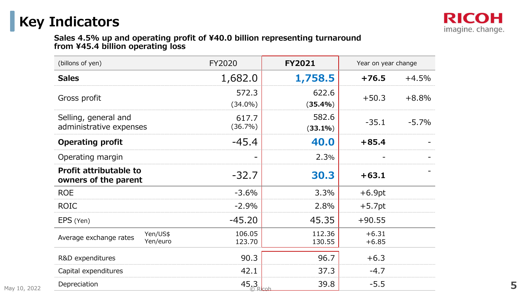### **Key Indicators**

### **Sales 4.5% up and operating profit of ¥40.0 billion representing turnaround from ¥45.4 billion operating loss**

| (billons of yen)                                      | FY2020              | <b>FY2021</b>       | Year on year change |         |  |
|-------------------------------------------------------|---------------------|---------------------|---------------------|---------|--|
| <b>Sales</b>                                          | 1,682.0             | 1,758.5             | $+76.5$             | $+4.5%$ |  |
| Gross profit                                          | 572.3<br>$(34.0\%)$ | 622.6<br>(35.4%)    | $+50.3$             | $+8.8%$ |  |
| Selling, general and<br>administrative expenses       | 617.7<br>$(36.7\%)$ | 582.6<br>$(33.1\%)$ | $-35.1$             | $-5.7%$ |  |
| <b>Operating profit</b>                               | $-45.4$             | 40.0                | $+85.4$             |         |  |
| Operating margin                                      |                     | 2.3%                |                     |         |  |
| <b>Profit attributable to</b><br>owners of the parent | $-32.7$             | 30.3                | $+63.1$             |         |  |
| <b>ROE</b>                                            | $-3.6%$             | 3.3%                | $+6.9pt$            |         |  |
| <b>ROIC</b>                                           | $-2.9%$             | 2.8%                | $+5.7$ pt           |         |  |
| EPS (Yen)                                             | $-45.20$            | 45.35               | $+90.55$            |         |  |
| Yen/US\$<br>Average exchange rates<br>Yen/euro        | 106.05<br>123.70    | 112.36<br>130.55    | $+6.31$<br>$+6.85$  |         |  |
| R&D expenditures                                      | 90.3                | 96.7                | $+6.3$              |         |  |
| Capital expenditures                                  | 42.1                | 37.3                | $-4.7$              |         |  |
| Depreciation                                          | 45.3                | 39.8                | $-5.5$              |         |  |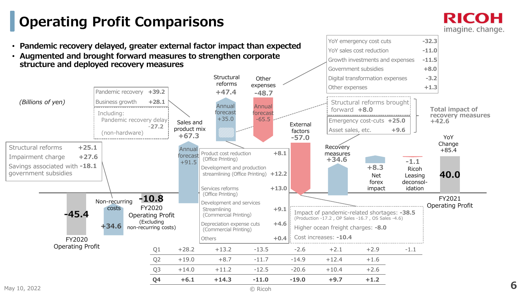### **Operating Profit Comparisons**

RICOH imagine. change.

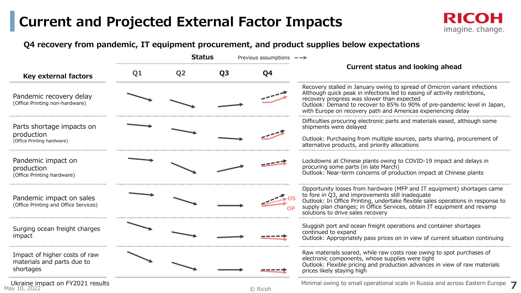### **Current and Projected External Factor Impacts**



#### **Q4 recovery from pandemic, IT equipment procurement, and product supplies below expectations**

|                                                                          |    | <b>Status</b>  | Previous assumptions $-\rightarrow$ |                |                                                                                                                                                                                                                                                                                                                                                  |
|--------------------------------------------------------------------------|----|----------------|-------------------------------------|----------------|--------------------------------------------------------------------------------------------------------------------------------------------------------------------------------------------------------------------------------------------------------------------------------------------------------------------------------------------------|
| Key external factors                                                     | Q1 | Q <sub>2</sub> | Q <sub>3</sub>                      | Q <sub>4</sub> | <b>Current status and looking ahead</b>                                                                                                                                                                                                                                                                                                          |
| Pandemic recovery delay<br>(Office Printing non-hardware)                |    |                |                                     |                | Recovery stalled in January owing to spread of Omicron variant infections<br>Although quick peak in infections led to easing of activity restrictions,<br>recovery progress was slower than expected<br>Outlook: Demand to recover to 85% to 90% of pre-pandemic level in Japan,<br>with Europe on recovery path and Americas experiencing delay |
| Parts shortage impacts on<br>production<br>(Office Printing hardware)    |    |                |                                     |                | Difficulties procuring electronic parts and materials eased, although some<br>shipments were delayed<br>Outlook: Purchasing from multiple sources, parts sharing, procurement of<br>alternative products, and priority allocations                                                                                                               |
| Pandemic impact on<br>production<br>(Office Printing hardware)           |    |                |                                     |                | Lockdowns at Chinese plants owing to COVID-19 impact and delays in<br>procuring some parts (in late March)<br>Outlook: Near-term concerns of production impact at Chinese plants                                                                                                                                                                 |
| Pandemic impact on sales<br>(Office Printing and Office Services)        |    |                |                                     |                | Opportunity losses from hardware (MFP and IT equipment) shortages came<br>to fore in Q3, and improvements still inadequate<br>Outlook: In Office Printing, undertake flexible sales operations in response to<br>supply plan changes; in Office Services, obtain IT equipment and revamp<br>solutions to drive sales recovery                    |
| Surging ocean freight charges<br>impact                                  |    |                |                                     |                | Sluggish port and ocean freight operations and container shortages<br>continued to expand<br>Outlook: Appropriately pass prices on in view of current situation continuing                                                                                                                                                                       |
| Impact of higher costs of raw<br>materials and parts due to<br>shortages |    |                |                                     |                | Raw materials soared, while raw costs rose owing to spot purchases of<br>electronic components, whose supplies were tight<br>Outlook: Flexible pricing and production advances in view of raw materials<br>prices likely staying high                                                                                                            |
| Ukraine impact on FY2021 results<br>10, 2022                             |    |                |                                     | © Ricoh        | Minimal owing to small operational scale in Russia and across Eastern Europe                                                                                                                                                                                                                                                                     |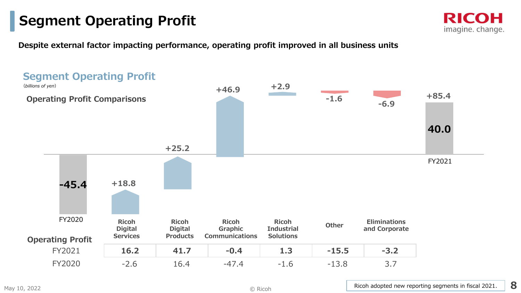### **Segment Operating Profit**



**Despite external factor impacting performance, operating profit improved in all business units**

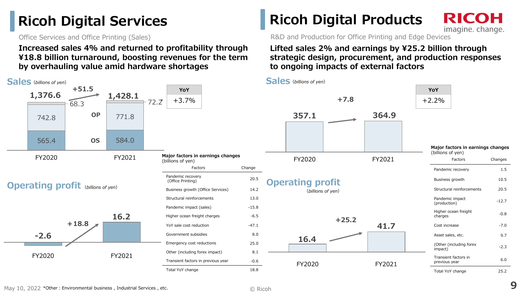### **Ricoh Digital Services**

Office Services and Office Printing (Sales)

**Increased sales 4% and returned to profitability through ¥18.8 billion turnaround, boosting revenues for the term by overhauling value amid hardware shortages**



### **Ricoh Digital Products**

RICOH imagine. change.

R&D and Production for Office Printing and Edge Devices

#### **Lifted sales 2% and earnings by ¥25.2 billion through strategic design, procurement, and production responses to ongoing impacts of external factors**



**<sup>9</sup>**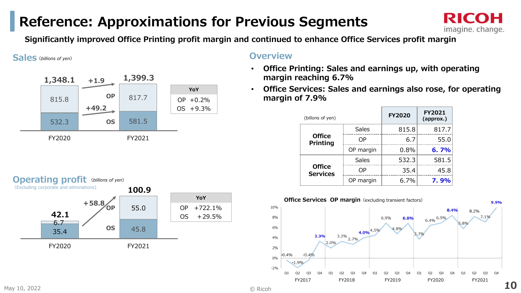### **Reference: Approximations for Previous Segments**



**Significantly improved Office Printing profit margin and continued to enhance Office Services profit margin**

**Sales***(billions of yen)*



#### **Overview**

- **Office Printing: Sales and earnings up, with operating**  •**margin reaching 6.7%**
- • **Office Services: Sales and earnings also rose, for operating margin of 7.9%**

| (billons of yen)                 |              | <b>FY2020</b> | <b>FY2021</b><br>(approx.) |  |
|----------------------------------|--------------|---------------|----------------------------|--|
|                                  | <b>Sales</b> | 815.8         | 817.7                      |  |
| <b>Office</b><br><b>Printing</b> | OΡ           | 6.7           | 55.0                       |  |
|                                  | OP margin    | 0.8%          | 6.7%                       |  |
|                                  | <b>Sales</b> | 532.3         | 581.5                      |  |
| <b>Office</b><br><b>Services</b> | OΡ           | 35.4          | 45.8                       |  |
|                                  | OP margin    | 6.7%          | 7.9%                       |  |



**Operating profit***(billions of yen)*



© Ricoh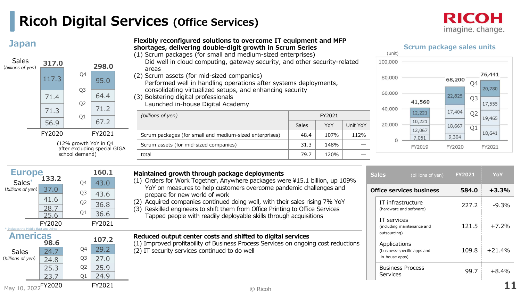### **Ricoh Digital Services (Office Services)**

23.7 Q1 24.9

Q2Q1



| <b>Japan</b>                            |                                                       |                                  |              | Flexibly reconfigured solutions to overcome IT equipment and MFP<br>shortages, delivering double-digit growth in Scrum Series<br>(1) Scrum packages (for small and medium-sized enterprises) |                                                                                                                                                          |        |          | (unit)                         | <b>Scrum package sales units</b> |        |                |                  |
|-----------------------------------------|-------------------------------------------------------|----------------------------------|--------------|----------------------------------------------------------------------------------------------------------------------------------------------------------------------------------------------|----------------------------------------------------------------------------------------------------------------------------------------------------------|--------|----------|--------------------------------|----------------------------------|--------|----------------|------------------|
| <b>Sales</b><br>(billions of yen)       | 317.0                                                 |                                  | 298.0        | Did well in cloud computing, gateway security, and other security-related<br>areas                                                                                                           |                                                                                                                                                          |        |          | 100,000                        |                                  |        |                |                  |
|                                         | 117.3                                                 | Q4                               | 95.0         | (2) Scrum assets (for mid-sized companies)                                                                                                                                                   | Performed well in handling operations after systems deployments,                                                                                         |        |          |                                |                                  |        |                | 76,441<br>20,780 |
|                                         | 71.4                                                  | O <sub>3</sub><br>Q <sub>2</sub> | 64.4         | consolidating virtualized setups, and enhancing security<br>(3) Bolstering digital professionals<br>Launched in-house Digital Academy                                                        |                                                                                                                                                          |        |          | 60,000                         | 41,560                           | 22,825 | Q <sub>3</sub> | 17,555           |
|                                         | 71.3                                                  | Q1                               | 71.2         | (billions of yen)                                                                                                                                                                            |                                                                                                                                                          | FY2021 |          | 40,000                         | 12,221                           | 17,404 | Q <sub>2</sub> | 19,465           |
|                                         | 56.9                                                  |                                  | 67.2         |                                                                                                                                                                                              | <b>Sales</b>                                                                                                                                             | YoY    | Unit YoY | 20,000                         | 10,221                           | 18,667 | Q1             |                  |
|                                         | FY2020                                                |                                  | FY2021       | Scrum packages (for small and medium-sized enterprises)                                                                                                                                      | 48.4                                                                                                                                                     | 107%   | 112%     |                                | 12,067<br>7,051                  | 9,304  |                | 18,641           |
|                                         | (12% growth YoY in Q4<br>after excluding special GIGA |                                  |              | Scrum assets (for mid-sized companies)                                                                                                                                                       | 31.3<br>148%                                                                                                                                             |        |          |                                | FY2019                           | FY2020 |                | FY2021           |
|                                         |                                                       | school demand)                   |              | total                                                                                                                                                                                        | 79.7                                                                                                                                                     | 120%   |          |                                |                                  |        |                |                  |
| <b>Europe</b>                           | 133.2                                                 |                                  | 160.1        | Maintained growth through package deployments<br>(1) Orders for Work Together, Anywhere packages were ¥15.1 billion, up 109%                                                                 |                                                                                                                                                          |        |          | <b>Sales</b>                   | (billions of yen)                | FY2021 |                | YoY              |
| Sales <sup>®</sup><br>(billions of yen) | 37.0                                                  | Q4<br>Q <sub>3</sub>             | 43.0<br>43.6 | prepare for new world of work                                                                                                                                                                | YoY on measures to help customers overcome pandemic challenges and                                                                                       |        |          |                                |                                  |        | 584.0          | $+3.3%$          |
|                                         | 41.6<br>28.7<br>25.6                                  | Q <sub>2</sub><br>Q1             | 36.8<br>36.6 | (3)                                                                                                                                                                                          | (2) Acquired companies continued doing well, with their sales rising 7% YoY<br>Reskilled engineers to shift them from Office Printing to Office Services |        |          |                                |                                  |        | 227.2          | $-9.3%$          |
| Includes the Middle East and Africa     | FY2020                                                |                                  | FY2021       | Tapped people with readily deployable skills through acquisitions                                                                                                                            |                                                                                                                                                          |        |          | IT services                    | (including maintenance and       |        | 121.5          | $+7.2%$          |
| <b>Americas</b>                         | 98.6                                                  |                                  | 107.2        | Reduced output center costs and shifted to digital services                                                                                                                                  |                                                                                                                                                          |        |          | outsourcing)                   |                                  |        |                |                  |
| <b>Sales</b><br>(billions of yen)       | 24.7<br>24.8                                          | Q4<br>Q <sub>3</sub>             | 29.2<br>27.0 | (1) Improved profitability of Business Process Services on ongoing cost reductions<br>(2) IT security services continued to do well                                                          |                                                                                                                                                          |        |          | Applications<br>in-house apps) | (business-specific apps and      |        | 109.8          | $+21.4%$         |
|                                         | 25.3                                                  | Q <sub>2</sub>                   | 25.9         |                                                                                                                                                                                              |                                                                                                                                                          |        |          | <b>Business Process</b>        |                                  |        | 007            | 1 O 10/          |

99.7 +8.4%

Services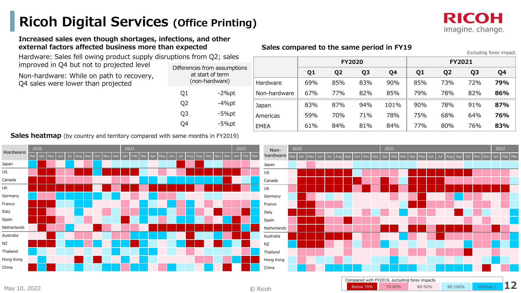### **Ricoh Digital Services (Office Printing)**



#### **Increased sales even though shortages, infections, and other external factors affected business more than expected**

 Hardware: Sales fell owing product supply disruptions from Q2; sales improved in Q4 but not to projected level

Non-hardware: While on path to recovery, Q4 sales were lower than projected

| у, | Differences from assumptions<br>at start of term<br>(non-hardware) |          |  |  |  |  |  |
|----|--------------------------------------------------------------------|----------|--|--|--|--|--|
|    | Q1                                                                 | -2%pt    |  |  |  |  |  |
|    | Q <sub>2</sub>                                                     | $-4%$ pt |  |  |  |  |  |
|    | Q3                                                                 | -5%pt    |  |  |  |  |  |
|    |                                                                    | $-5%$ pt |  |  |  |  |  |
|    |                                                                    |          |  |  |  |  |  |

#### **Sales compared to the same period in FY19**

Excluding forex impactJapan 83% 87% 94% 101% 90% 78% 91% **87% 76%**Americas 59% 70% 71% 78% 75% 68% 64%83% EMEA 61% 84% 81% 84% 77% 80% 76% **83%FY2020 FY2021Q1 Q2 Q3 Q4 Q1 Q2 Q3 Q4** Hardware 69% 85% 83% 90% 85% 73% 72% **79% 86%**Non-hardware67% 77% 82% 85% 79% 78% 82%

Below 70%

<mark>% 70-80% 80-90% 90-100% 100%以上</mark>

**Sales heatmap** (by country and territory compared with same months in FY2019)



 © Ricoh**12**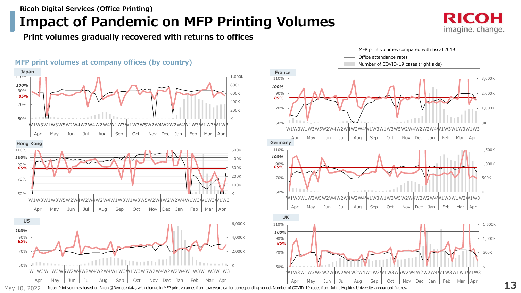#### **Ricoh Digital Services (Office Printing)**

### **Impact of Pandemic on MFP Printing Volumes**

**Print volumes gradually recovered with returns to offices**

#### **MFP print volumes at company offices (by country)**





May 10, 2022Note: Print volumes based on Ricoh @Remote data, with change in MFP print volumes from tow years earlier corresponding period. Number of COVID-19 cases from Johns Hopkins University-announced figures.

RICOH imagine. change.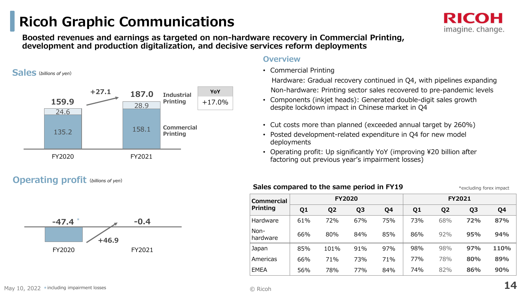### **Ricoh Graphic Communications**

**Boosted revenues and earnings as targeted on non-hardware recovery in Commercial Printing, development and production digitalization, and decisive services reform deployments**

**Sales***(billions of yen)*



#### **Operating profit***(billions of yen)*



#### **Overview**

• Commercial Printing

 Hardware: Gradual recovery continued in Q4, with pipelines expanding Non-hardware: Printing sector sales recovered to pre-pandemic levels

- Components (inkjet heads): Generated double-digit sales growth despite lockdown impact in Chinese market in Q4
- Cut costs more than planned (exceeded annual target by 260%)
- Posted development-related expenditure in Q4 for new model deployments
- Operating profit: Up significantly YoY (improving ¥20 billion after factoring out previous year's impairment losses)

| <b>Commercial</b> |                | <b>FY2020</b>  |                |     |                |                | <b>FY2021</b>  |      |
|-------------------|----------------|----------------|----------------|-----|----------------|----------------|----------------|------|
| <b>Printing</b>   | Q <sub>1</sub> | Q <sub>2</sub> | Q <sub>3</sub> | Q4  | Q <sub>1</sub> | Q <sub>2</sub> | Q <sub>3</sub> | Q4   |
| Hardware          | 61%            | 72%            | 67%            | 75% | 73%            | 68%            | 72%            | 87%  |
| Non-<br>hardware  | 66%            | 80%            | 84%            | 85% | 86%            | 92%            | 95%            | 94%  |
| Japan             | 85%            | 101%           | 91%            | 97% | 98%            | 98%            | 97%            | 110% |
| Americas          | 66%            | 71%            | 73%            | 71% | 77%            | 78%            | 80%            | 89%  |
| <b>EMEA</b>       | 56%            | 78%            | 77%            | 84% | 74%            | 82%            | 86%            | 90%  |

imagine. change.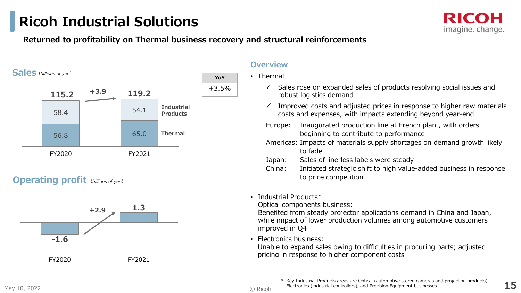### **Ricoh Industrial Solutions**

#### **Returned to profitability on Thermal business recovery and structural reinforcements**



#### **Operating profit** *(billions of yen)*



#### **Overview**

- Thermal
	- $\checkmark$  Sales rose on expanded sales of products resolving social issues and report logistics demand robust logistics demand
	- $\checkmark$  Improved costs and adjusted prices in response to higher raw materials costs and expanses with impacts extending beyond vear and costs and expenses, with impacts extending beyond year-end
	- Europe: Inaugurated production line at French plant, with orders beginning to contribute to performance
	- Americas: Impacts of materials supply shortages on demand growth likely to fade
	- Japan: Sales of linerless labels were steady<br>China: Laitiated strategis shift to bigh value
	- China: Initiated strategic shift to high value-added business in response to price competition
- Industrial Products\*

Optical components business:

 Benefited from steady projector applications demand in China and Japan, while impact of lower production volumes among automotive customers improved in Q4

•Electronics business:

 Unable to expand sales owing to difficulties in procuring parts; adjusted pricing in response to higher component costs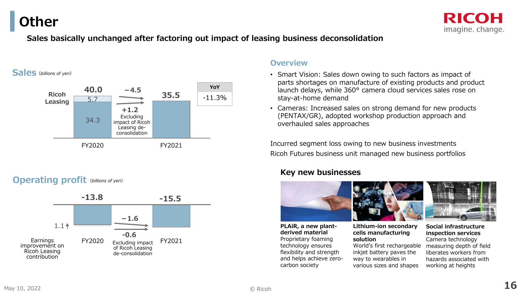**Other**



#### **Sales basically unchanged after factoring out impact of leasing business deconsolidation**

#### **Sales***(billions of yen)*



#### **Operating profit** *(billions of yen)*



#### **Overview**

- Smart Vision: Sales down owing to such factors as impact of parts shortages on manufacture of existing products and product launch delays, while 360° camera cloud services sales rose on stay-at-home demand
- Cameras: Increased sales on strong demand for new products (PENTAX/GR), adopted workshop production approach and overhauled sales approaches

Incurred segment loss owing to new business investmentsRicoh Futures business unit managed new business portfolios

#### **Key new businesses**



**PLAiR, a new plantderived material** Proprietary foaming technology ensures flexibility and strength and helps achieve zerocarbon society



#### **Lithium-ion secondary cells manufacturing solution**

 World's first rechargeable inkjet battery paves the way to wearables in various sizes and shapes



**Social infrastructure inspection services** Camera technology measuring depth of field liberates workers from hazards associated with working at heights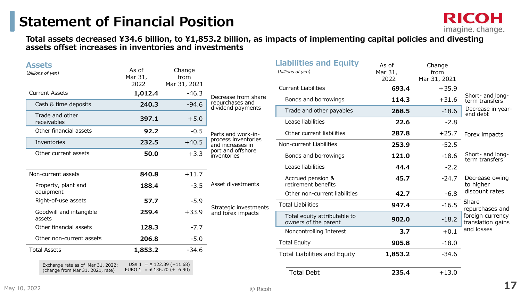### **Statement of Financial Position**

**Total assets decreased ¥34.6 billion, to ¥1,853.2 billion, as impacts of implementing capital policies and divesting assets offset increases in inventories and investments**

| <b>Assets</b><br>(billions of yen)                                    | As of<br>Mar 31,<br>2022                                    | Change<br>from<br>Mar 31, 2021 |                                         | <b>Liabilities and Equity</b><br>(billions of yen)   | As of<br>Mar 31,<br>2022 | Change<br>from<br>Mar 31, 2021 |                                                          |
|-----------------------------------------------------------------------|-------------------------------------------------------------|--------------------------------|-----------------------------------------|------------------------------------------------------|--------------------------|--------------------------------|----------------------------------------------------------|
| <b>Current Assets</b>                                                 | 1,012.4                                                     | $-46.3$                        |                                         | <b>Current Liabilities</b>                           | 693.4                    | $+35.9$                        |                                                          |
|                                                                       |                                                             |                                | Decrease from share<br>repurchases and  | Bonds and borrowings                                 | 114.3                    | $+31.6$                        | Short- and long-<br>term transfers                       |
| Cash & time deposits                                                  | 240.3                                                       | $-94.6$                        | dividend payments                       | Trade and other payables                             | 268.5                    | $-18.6$                        | Decrease in year-                                        |
| Trade and other<br>receivables                                        | 397.1                                                       | $+5.0$                         |                                         | Lease liabilities                                    | 22.6                     | $-2.8$                         | end debt                                                 |
| Other financial assets                                                | 92.2                                                        | $-0.5$                         | Parts and work-in-                      | Other current liabilities                            | 287.8                    | $+25.7$                        | Forex impacts                                            |
| Inventories                                                           | 232.5                                                       | $+40.5$                        | process inventories<br>and increases in | Non-current Liabilities                              | 253.9                    | $-52.5$                        |                                                          |
| Other current assets                                                  | 50.0                                                        | $+3.3$                         | port and offshore<br>inventories        | Bonds and borrowings                                 | 121.0                    | $-18.6$                        | Short- and long-<br>term transfers                       |
|                                                                       |                                                             |                                |                                         | Lease liabilities                                    | 44.4                     | $-2.2$                         |                                                          |
| Non-current assets                                                    | 840.8                                                       | $+11.7$                        |                                         | Accrued pension &                                    | 45.7                     | $-24.7$                        | Decrease owing                                           |
| Property, plant and                                                   | 188.4                                                       | $-3.5$                         | Asset divestments                       | retirement benefits                                  |                          |                                | to higher                                                |
| equipment                                                             |                                                             |                                |                                         | Other non-current liabilities                        | 42.7                     | $-6.8$                         | discount rates                                           |
| Right-of-use assets                                                   | 57.7                                                        | $-5.9$                         | Strategic investments                   | <b>Total Liabilities</b>                             | 947.4                    | $-16.5$                        | Share                                                    |
| Goodwill and intangible<br>assets                                     | 259.4                                                       | $+33.9$                        | and forex impacts                       | Total equity attributable to<br>owners of the parent | 902.0                    | $-18.2$                        | repurchases and<br>foreign currency<br>translation gains |
| Other financial assets                                                | 128.3                                                       | $-7.7$                         |                                         | Noncontrolling Interest                              | 3.7                      | $+0.1$                         | and losses                                               |
| Other non-current assets                                              | 206.8                                                       | $-5.0$                         |                                         | <b>Total Equity</b>                                  | 905.8                    | $-18.0$                        |                                                          |
| <b>Total Assets</b>                                                   | 1,853.2                                                     | $-34.6$                        |                                         |                                                      |                          |                                |                                                          |
|                                                                       |                                                             |                                |                                         | <b>Total Liabilities and Equity</b>                  | 1,853.2                  | $-34.6$                        |                                                          |
| Exchange rate as of Mar 31, 2022:<br>(change from Mar 31, 2021, rate) | $US$ 1 = $ 122.39 (+11.68)$<br>EURO $1 = 4$ 136.70 (+ 6.90) |                                |                                         | <b>Total Debt</b>                                    | 235.4                    | $+13.0$                        |                                                          |

**RICOH** 

imagine. change.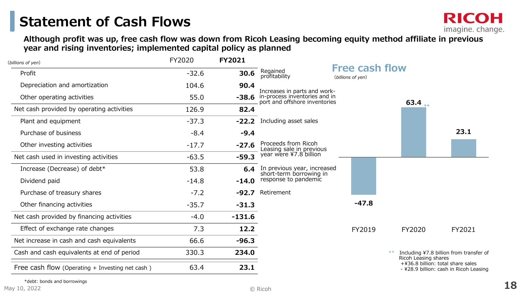imagine. change.

**Although profit was up, free cash flow was down from Ricoh Leasing becoming equity method affiliate in previous year and rising inventories; implemented capital policy as planned**

| FY2020  | <b>FY2021</b> |                           |                                                                                                      |                                                                                                                               |                                                                             |
|---------|---------------|---------------------------|------------------------------------------------------------------------------------------------------|-------------------------------------------------------------------------------------------------------------------------------|-----------------------------------------------------------------------------|
| $-32.6$ | 30.6          | Regained<br>profitability | (billions of yen)                                                                                    |                                                                                                                               |                                                                             |
| 104.6   | 90.4          |                           |                                                                                                      |                                                                                                                               |                                                                             |
| 55.0    | $-38.6$       |                           |                                                                                                      |                                                                                                                               |                                                                             |
| 126.9   | 82.4          |                           |                                                                                                      |                                                                                                                               |                                                                             |
| $-37.3$ |               |                           |                                                                                                      |                                                                                                                               |                                                                             |
| $-8.4$  | $-9.4$        |                           |                                                                                                      |                                                                                                                               | 23.1                                                                        |
| $-17.7$ |               | Proceeds from Ricoh       |                                                                                                      |                                                                                                                               |                                                                             |
| $-63.5$ | $-59.3$       | year were ¥7.8 billion    |                                                                                                      |                                                                                                                               |                                                                             |
| 53.8    |               |                           |                                                                                                      |                                                                                                                               |                                                                             |
| $-14.8$ | $-14.0$       | response to pandemic      |                                                                                                      |                                                                                                                               |                                                                             |
| $-7.2$  | $-92.7$       | Retirement                |                                                                                                      |                                                                                                                               |                                                                             |
| $-35.7$ | $-31.3$       |                           | $-47.8$                                                                                              |                                                                                                                               |                                                                             |
| $-4.0$  | $-131.6$      |                           |                                                                                                      |                                                                                                                               |                                                                             |
| 7.3     | 12.2          |                           | FY2019                                                                                               | FY2020                                                                                                                        | FY2021                                                                      |
| 66.6    | $-96.3$       |                           |                                                                                                      |                                                                                                                               |                                                                             |
| 330.3   | 234.0         |                           |                                                                                                      |                                                                                                                               | Including ¥7.8 billion from transfer of                                     |
| 63.4    | 23.1          |                           |                                                                                                      |                                                                                                                               | +¥36.8 billion: total share sales<br>- ¥28.9 billion: cash in Ricoh Leasing |
|         |               |                           | -22.2 Including asset sales<br>$-27.6$<br>Leasing sale in previous<br>6.4<br>short-term borrowing in | Increases in parts and work-<br>in-process inventories and in<br>port and offshore inventories<br>In previous year, increased | <b>Free cash flow</b><br>63.4<br>Ricoh Leasing shares                       |

\*debt: bonds and borrowings

**RICOH**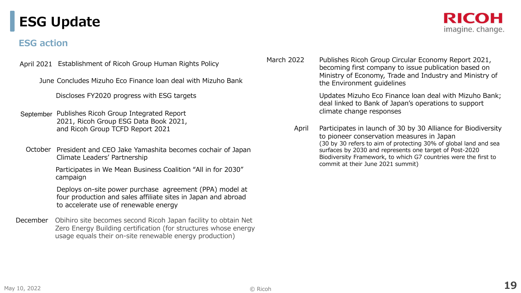### **ESG Update**

#### **ESG action**

April 2021 Establishment of Ricoh Group Human Rights Policy

June Concludes Mizuho Eco Finance loan deal with Mizuho Bank

Discloses FY2020 progress with ESG targets

- September Publishes Ricoh Group Integrated Report 2021, Ricoh Group ESG Data Book 2021, and Ricoh Group TCFD Report 2021
- October President and CEO Jake Yamashita becomes cochair of Japan Climate Leaders' Partnership

Participates in We Mean Business Coalition "All in for 2030" campaign

Deploys on-site power purchase agreement (PPA) model at four production and sales affiliate sites in Japan and abroadto accelerate use of renewable energy

December Obihiro site becomes second Ricoh Japan facility to obtain Net Zero Energy Building certification (for structures whose energy usage equals their on-site renewable energy production)



March 2022 Publishes Ricoh Group Circular Economy Report 2021, becoming first company to issue publication based on Ministry of Economy, Trade and Industry and Ministry of the Environment guidelines

> Updates Mizuho Eco Finance loan deal with Mizuho Bank; deal linked to Bank of Japan's operations to support climate change responses

April Participates in launch of 30 by 30 Alliance for Biodiversity to pioneer conservation measures in Japan (30 by 30 refers to aim of protecting 30% of global land and sea surfaces by 2030 and represents one target of Post-2020 Biodiversity Framework, to which G7 countries were the first to commit at their June 2021 summit)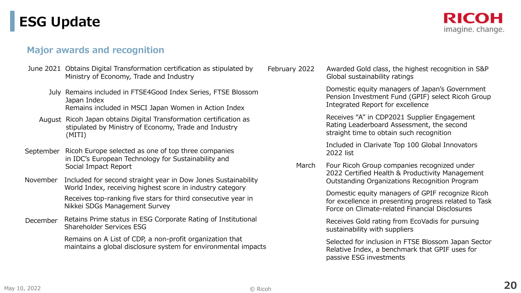### **ESG Update**

#### RICOH imagine. change.

#### **Major awards and recognition**

- June 2021 Obtains Digital Transformation certification as stipulated by Ministry of Economy, Trade and Industry
	- July Remains included in FTSE4Good Index Series, FTSE Blossom Japan IndexRemains included in MSCI Japan Women in Action Index
	- August Ricoh Japan obtains Digital Transformation certification as stipulated by Ministry of Economy, Trade and Industry(MITI)
- September Ricoh Europe selected as one of top three companies in IDC's European Technology for Sustainability and Social Impact Report
- November Included for second straight year in Dow Jones Sustainability World Index, receiving highest score in industry categoryReceives top-ranking five stars for third consecutive year in Nikkei SDGs Management Survey
- Retains Prime status in ESG Corporate Rating of Institutional Shareholder Services ESGDecember

Remains on A List of CDP, a non-profit organization that maintains a global disclosure system for environmental impacts

February 2022 Awarded Gold class, the highest recognition in S&P Global sustainability ratings

> Domestic equity managers of Japan's Government Pension Investment Fund (GPIF) select Ricoh Group Integrated Report for excellence

Receives "A" in CDP2021 Supplier Engagement Rating Leaderboard Assessment, the second straight time to obtain such recognition

Included in Clarivate Top 100 Global Innovators 2022 list

March Four Ricoh Group companies recognized under 2022 Certified Health & Productivity Management Outstanding Organizations Recognition Program

> Domestic equity managers of GPIF recognize Ricoh for excellence in presenting progress related to Task Force on Climate-related Financial Disclosures

Receives Gold rating from EcoVadis for pursuing sustainability with suppliers

Selected for inclusion in FTSE Blossom Japan Sector Relative Index, a benchmark that GPIF uses for passive ESG investments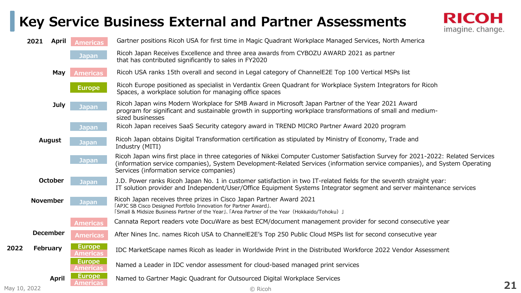### **Key Service Business External and Partner Assessments**



|              | 2021<br>April   | <b>Americas</b>                  | Gartner positions Ricoh USA for first time in Magic Quadrant Workplace Managed Services, North America                                                                                                                                                                                                     |    |
|--------------|-----------------|----------------------------------|------------------------------------------------------------------------------------------------------------------------------------------------------------------------------------------------------------------------------------------------------------------------------------------------------------|----|
|              |                 | Japan                            | Ricoh Japan Receives Excellence and three area awards from CYBOZU AWARD 2021 as partner<br>that has contributed significantly to sales in FY2020                                                                                                                                                           |    |
|              | May             | <b>Americas</b>                  | Ricoh USA ranks 15th overall and second in Legal category of ChannelE2E Top 100 Vertical MSPs list                                                                                                                                                                                                         |    |
|              |                 | <b>Europe</b>                    | Ricoh Europe positioned as specialist in Verdantix Green Quadrant for Workplace System Integrators for Ricoh<br>Spaces, a workplace solution for managing office spaces                                                                                                                                    |    |
|              | <b>July</b>     | Japan                            | Ricoh Japan wins Modern Workplace for SMB Award in Microsoft Japan Partner of the Year 2021 Award<br>program for significant and sustainable growth in supporting workplace transformations of small and medium-<br>sized businesses                                                                       |    |
|              |                 | <b>Japan</b>                     | Ricoh Japan receives SaaS Security category award in TREND MICRO Partner Award 2020 program                                                                                                                                                                                                                |    |
|              | <b>August</b>   | <b>Japan</b>                     | Ricoh Japan obtains Digital Transformation certification as stipulated by Ministry of Economy, Trade and<br>Industry (MITI)                                                                                                                                                                                |    |
|              |                 | <b>Japan</b>                     | Ricoh Japan wins first place in three categories of Nikkei Computer Customer Satisfaction Survey for 2021-2022: Related Services<br>(information service companies), System Development-Related Services (information service companies), and System Operating<br>Services (information service companies) |    |
|              | <b>October</b>  | Japan                            | J.D. Power ranks Ricoh Japan No. 1 in customer satisfaction in two IT-related fields for the seventh straight year:<br>IT solution provider and Independent/User/Office Equipment Systems Integrator segment and server maintenance services                                                               |    |
|              | <b>November</b> | Japan                            | Ricoh Japan receives three prizes in Cisco Japan Partner Award 2021<br>[APJC SB Cisco Designed Portfolio Innovation for Partner Award].<br>[Small & Midsize Business Partner of the Year], [Area Partner of the Year (Hokkaido/Tohoku) ]                                                                   |    |
|              |                 | <b>Americas</b>                  | Cannata Report readers vote DocuWare as best ECM/document management provider for second consecutive year                                                                                                                                                                                                  |    |
|              | <b>December</b> | <b>Americas</b>                  | After Nines Inc. names Ricoh USA to ChannelE2E's Top 250 Public Cloud MSPs list for second consecutive year                                                                                                                                                                                                |    |
| 2022         | February        | <b>Europe</b><br><b>Americas</b> | IDC MarketScape names Ricoh as leader in Worldwide Print in the Distributed Workforce 2022 Vendor Assessment                                                                                                                                                                                               |    |
|              |                 | <b>Europe</b><br><b>Americas</b> | Named a Leader in IDC vendor assessment for cloud-based managed print services                                                                                                                                                                                                                             |    |
|              | April           | <b>Europe</b><br><b>Americas</b> | Named to Gartner Magic Quadrant for Outsourced Digital Workplace Services                                                                                                                                                                                                                                  |    |
| May 10, 2022 |                 |                                  | © Ricoh                                                                                                                                                                                                                                                                                                    | 21 |

May 10, 2022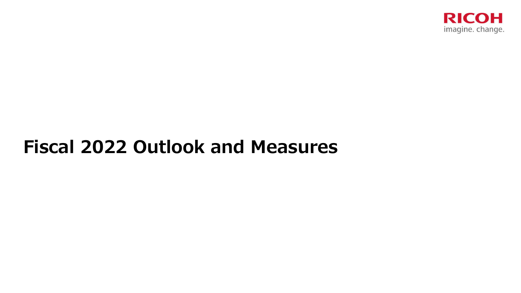

# **Fiscal 2022 Outlook and Measures**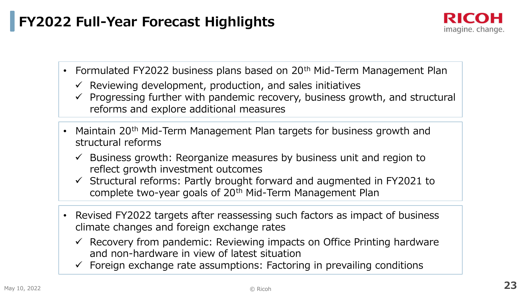### **FY2022 Full-Year Forecast Highlights**

- Formulated FY2022 business plans based on 20<sup>th</sup> Mid-Term Management Plan
	- ← Reviewing development, production, and sales initiatives
	- $\checkmark$  Progressing further with pandemic recovery, business growth, and structural reforms and explore additional measures
- Maintain 20<sup>th</sup> Mid-Term Management Plan targets for business growth and structural reforms
	- $\checkmark$  Business growth: Reorganize measures by business unit and region to reflect growth investment outcomes. reflect growth investment outcomes
	- $\checkmark$  Structural reforms: Partly brought forward and augmented in FY2021 to semplete two verses and of 20th Mid Term Management Plan complete two-year goals of 20<sup>th</sup> Mid-Term Management Plan
- Revised FY2022 targets after reassessing such factors as impact of business climate changes and foreign exchange rates
	- Recovery from pandemic: Reviewing impacts on Office Printing hardware and non-hardware in view of latest situation
	- $\checkmark$  Foreign exchange rate assumptions: Factoring in prevailing conditions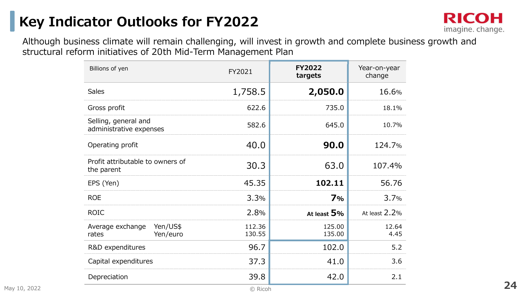### **Key Indicator Outlooks for FY2022**



Although business climate will remain challenging, will invest in growth and complete business growth and structural reform initiatives of 20th Mid-Term Management Plan

| Billions of yen                                   | FY2021           | <b>FY2022</b><br>targets | Year-on-year<br>change |
|---------------------------------------------------|------------------|--------------------------|------------------------|
| <b>Sales</b>                                      | 1,758.5          | 2,050.0                  | 16.6%                  |
| Gross profit                                      | 622.6            | 735.0                    | 18.1%                  |
| Selling, general and<br>administrative expenses   | 582.6            | 645.0                    | 10.7%                  |
| Operating profit                                  | 40.0             | 90.0                     | 124.7%                 |
| Profit attributable to owners of<br>the parent    | 30.3             | 63.0                     | 107.4%                 |
| EPS (Yen)                                         | 45.35            | 102.11                   | 56.76                  |
| <b>ROE</b>                                        | 3.3%             | 7%                       | 3.7%                   |
| <b>ROIC</b>                                       | 2.8%             | At least $5%$            | At least 2.2%          |
| Average exchange<br>Yen/US\$<br>Yen/euro<br>rates | 112.36<br>130.55 | 125.00<br>135.00         | 12.64<br>4.45          |
| R&D expenditures                                  | 96.7             | 102.0                    | 5.2                    |
| Capital expenditures                              | 37.3             | 41.0                     | 3.6                    |
| Depreciation                                      | 39.8             | 42.0                     | 2.1                    |
|                                                   | © Ricoh          |                          |                        |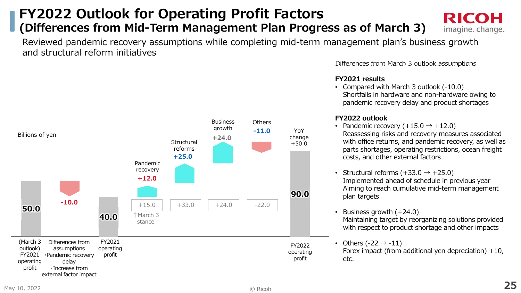### **FY2022 Outlook for Operating Profit Factors (Differences from Mid-Term Management Plan Progress as of March 3)**

**Business** 

Reviewed pandemic recovery assumptions while completing mid-term management plan's business growth and structural reform initiatives

**Others** 



 • Compared with March 3 outlook (-10.0) Shortfalls in hardware and non-hardware owing to pandemic recovery delay and product shortages

RICOH

imagine. change.

Differences from March 3 outlook assumptions

#### **FY2022 outlook**

- Pandemic recovery  $(+15.0 \rightarrow +12.0)$  Reassessing risks and recovery measures associated with office returns, and pandemic recovery, as well as parts shortages, operating restrictions, ocean freight costs, and other external factors
- Structural reforms  $(+33.0 \rightarrow +25.0)$  Implemented ahead of schedule in previous year Aiming to reach cumulative mid-term management plan targets
- • Business growth (+24.0) Maintaining target by reorganizing solutions provided with respect to product shortage and other impacts
- Others (-22  $\rightarrow$  -11)

 Forex impact (from additional yen depreciation) +10, etc.

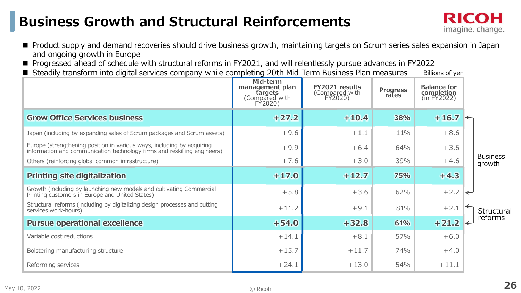### **Business Growth and Structural Reinforcements**



- Product supply and demand recoveries should drive business growth, maintaining targets on Scrum series sales expansion in Japan<br>معالجة المستعدم وجود العلمية المستعدم المستعدم المستعدم والمستعدم المستعدم المستعدم المستعد and ongoing growth in Europe
- **Progressed ahead of schedule with structural reforms in FY2021, and will relentlessly pursue advances in FY2022<br>Professible transforms into digital services sempony while semplating 20th Mid Term Business Plan measures**
- Steadily transform into digital services company while completing 20th Mid-Term Business Plan measures Billions of yen

|                                                                                                                                                    | Mid-term<br>management plan<br><b>fargets</b><br>(Compared with<br>FÝ2020) | FY2021 results<br>(Compared with<br>FÝ2020) | <b>Progress</b><br>rates | <b>Balance for</b><br>completion<br>(in FY2022) |              |                           |
|----------------------------------------------------------------------------------------------------------------------------------------------------|----------------------------------------------------------------------------|---------------------------------------------|--------------------------|-------------------------------------------------|--------------|---------------------------|
| <b>Grow Office Services business</b>                                                                                                               | $+27.2$                                                                    | $+10.4$                                     | 38%                      | $+16.7$ $\sim$                                  |              |                           |
| Japan (including by expanding sales of Scrum packages and Scrum assets)                                                                            | $+9.6$                                                                     | $+1.1$                                      | 11%                      | $+8.6$                                          |              |                           |
| Europe (strengthening position in various ways, including by acquiring<br>information and communication technology firms and reskilling engineers) | $+9.9$                                                                     | $+6.4$                                      | 64%                      | $+3.6$                                          |              |                           |
| Others (reinforcing global common infrastructure)                                                                                                  | $+7.6$                                                                     | $+3.0$                                      | 39%                      | $+4.6$                                          |              | <b>Business</b><br>growth |
| <b>Printing site digitalization</b>                                                                                                                | $+17.0$                                                                    | $+12.7$                                     | 75%                      | $+4.3$                                          |              |                           |
| Growth (including by launching new models and cultivating Commercial<br>Printing customers in Europe and United States)                            | $+5.8$                                                                     | $+3.6$                                      | 62%                      | $+2.2$                                          | $\leftarrow$ |                           |
| Structural reforms (including by digitalizing design processes and cutting<br>services work-hours)                                                 | $+11.2$                                                                    | $+9.1$                                      | 81%                      | $+2.1$                                          |              | Structural                |
| <b>Pursue operational excellence</b>                                                                                                               | $+54.0$                                                                    | $+32.8$                                     | 61%                      | $+21.2$                                         |              | reforms                   |
| Variable cost reductions                                                                                                                           | $+14.1$                                                                    | $+8.1$                                      | 57%                      | $+6.0$                                          |              |                           |
| Bolstering manufacturing structure                                                                                                                 | $+15.7$                                                                    | $+11.7$                                     | 74%                      | $+4.0$                                          |              |                           |
| Reforming services                                                                                                                                 | $+24.1$                                                                    | $+13.0$                                     | 54%                      | $+11.1$                                         |              |                           |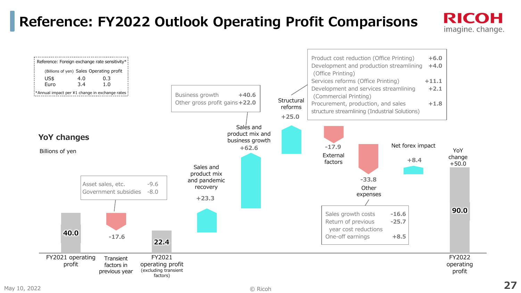### **Reference: FY2022 Outlook Operating Profit Comparisons**

#### Product cost reduction (Office Printing)  $+6.0$ <br>Development and production streamlining  $+4.0$ Reference: Foreign exchange rate sensitivity\* Development and production streamlining (Billions of yen) Sales Operating profit (Office Printing) US\$ 4.0 0.3 Services reforms (Office Printing)  $+11.1$ <br>Development and services streamlining  $+2.1$ Euro 3.4 1.0 \*Annual impact per ¥1 change in exchange rates Development and services streamlining Business growth **+40.6**(Commercial Printing) **Structural**  Other gross profit gains**+22.0**Procurement, production, and sales  $+1.8$ reformsstructure streamlining (Industrial Solutions) **+25.0**Sales and product mix and **YoY changes** business growthNet forex impact**-17.9+62.6**YoY Billions of yenExternal change**+8.4**factors +50.0Sales and product mix **-33.8** and pandemic Asset sales, etc. -9.6<br>Government subsidies -8.0 recoveryOther Government subsidies expenses**+23.390.0**Sales growth costs **-16.6Return of previous**  $-25.7$ year cost reductions**40.0 -17.6**One-off earnings **+8.522.4**FY2021 operating FY2022 FY2021 **Transient** profit operating profit operating factors in (excluding transient profit previous yearfactors)

RICOH imagine. change.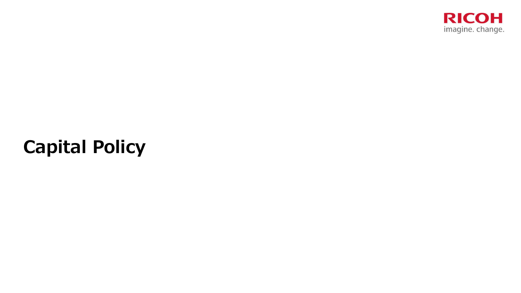

# **Capital Policy**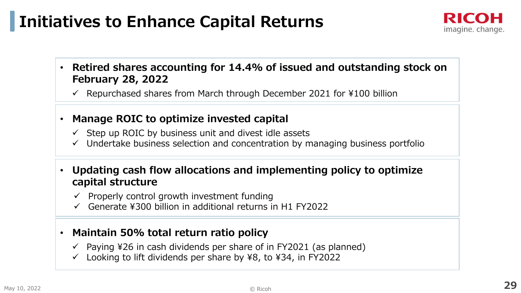## **Initiatives to Enhance Capital Returns**



- • **Retired shares accounting for 14.4% of issued and outstanding stock on February 28, 2022**
	- $\checkmark$  Repurchased shares from March through December 2021 for ¥100 billion
- • **Manage ROIC to optimize invested capital**
	- $\checkmark$  Step up ROIC by business unit and divest idle assets
	- $\checkmark$  Undertake business selection and concentration by managing business portfolio
- • **Updating cash flow allocations and implementing policy to optimize capital structure**
	- $\checkmark$  Properly control growth investment funding<br> $\checkmark$  Conorate X200 billion in additional returns is
	- Generate  $4300$  billion in additional returns in H1 FY2022

#### •**Maintain 50% total return ratio policy**

- Paying ¥26 in cash dividends per share of in FY2021 (as planned)
- ✓ Looking to lift dividends per share by ¥8, to ¥34, in FY2022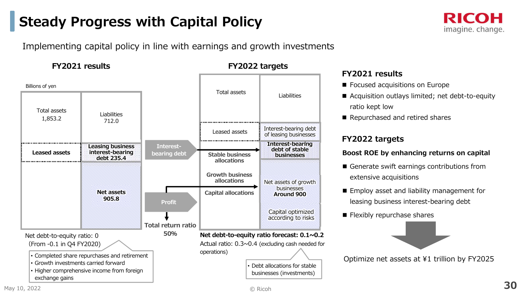### **Steady Progress with Capital Policy**



Implementing capital policy in line with earnings and growth investments

#### **FY2021 results**



 Actual ratio: 0.3~0.4 (excluding cash needed for operations)

**FY2022 targets**

• Debt allocations for stable businesses (investments)

#### **FY2021 results**

- $\blacksquare$  Focused acquisitions on Europe
- Acquisition outlays limited; net debt-to-equity ratio kept low
- $\blacksquare$  Repurchased and retired shares

#### **FY2022 targets**

#### **Boost ROE by enhancing returns on capital**

- $\blacksquare$  Generate swift earnings contributions from extensive acquisitions
- $\blacksquare$  Employ asset and liability management for leasing business interest-bearing debt
- Flexibly repurchase shares



Optimize net assets at ¥1 trillion by FY2025

 • Higher comprehensive income from foreign exchange gains

• Growth investments carried forward

• Completed share repurchases and retirement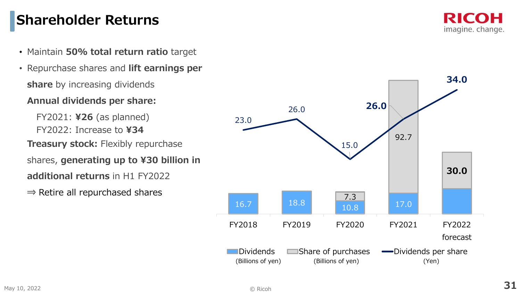### **Shareholder Returns**

- Maintain **50% total return ratio** target
- 1,200• Repurchase shares and **lift earnings per share** by increasing dividends

#### **Annual dividends per share:**

400shares, **generating up to ¥30 billion in** FY2021: **¥26** (as planned)FY2022: Increase to **¥34Treasury stock:** Flexibly repurchase **additional returns** in H1 FY2022

 $\Rightarrow$  Retire all repurchased shares

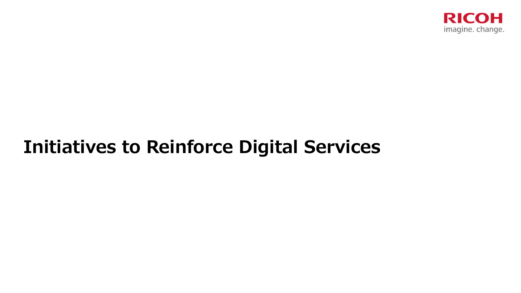

# **Initiatives to Reinforce Digital Services**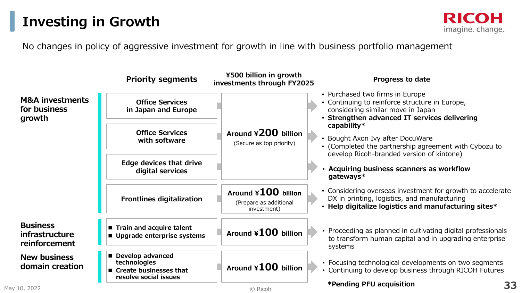### **Investing in Growth**

#### No changes in policy of aggressive investment for growth in line with business portfolio management

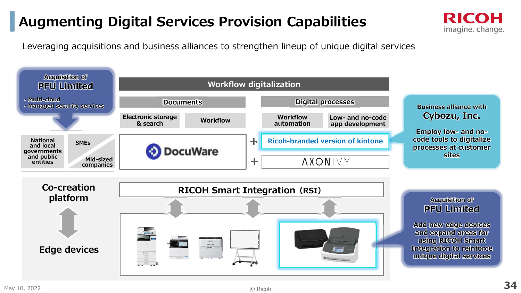### **Augmenting Digital Services Provision Capabilities**

Leveraging acquisitions and business alliances to strengthen lineup of unique digital services





#### **Acquisition of PFU Limited**

RICOH

imagine. change.

**Add new edge devices and expand areas for using RICOH Smart Integration to reinforce unique digital services**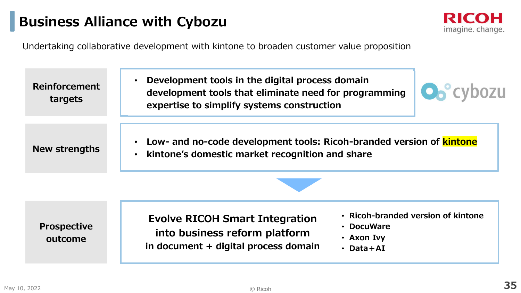### **Business Alliance with Cybozu**



Undertaking collaborative development with kintone to broaden customer value proposition

 **Development tools in the digital process domain**   $\bullet$ **Reinforcement O**o<sup>o</sup>cybozu **development tools that eliminate need for programming targetsexpertise to simplify systems construction**• **Low- and no-code development tools: Ricoh-branded version of kintone New strengths kintone's domestic market recognition and share**  $\bullet$ 

**Prospective outcome**

**Evolve RICOH Smart Integration into business reform platformin document + digital process domain** • **Ricoh-branded version of kintone**

- **DocuWare**
- **Axon Ivy**
- **Data+AI**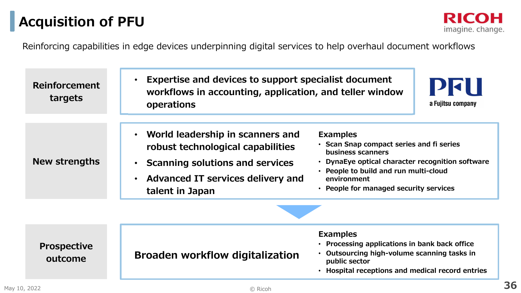### **Acquisition of PFU**

**RICOH** imagine. change.

Reinforcing capabilities in edge devices underpinning digital services to help overhaul document workflows

| <b>Reinforcement</b><br>targets | Expertise and devices to support specialist document<br>$\bullet$<br>workflows in accounting, application, and teller window<br>operations                                                                            | РИН<br>a Fujitsu company                                                                                                                                                                                                               |  |
|---------------------------------|-----------------------------------------------------------------------------------------------------------------------------------------------------------------------------------------------------------------------|----------------------------------------------------------------------------------------------------------------------------------------------------------------------------------------------------------------------------------------|--|
| <b>New strengths</b>            | World leadership in scanners and<br>$\bullet$<br>robust technological capabilities<br><b>Scanning solutions and services</b><br>$\bullet$<br><b>Advanced IT services delivery and</b><br>$\bullet$<br>talent in Japan | <b>Examples</b><br>• Scan Snap compact series and fi series<br>business scanners<br>• DynaEye optical character recognition software<br>• People to build and run multi-cloud<br>environment<br>• People for managed security services |  |
|                                 |                                                                                                                                                                                                                       |                                                                                                                                                                                                                                        |  |
| <b>Prospective</b><br>outcome   | <b>Broaden workflow digitalization</b>                                                                                                                                                                                | <b>Examples</b><br>• Processing applications in bank back office<br>Outsourcing high-volume scanning tasks in<br>public sector<br>Hospital receptions and medical record entries                                                       |  |

© Ricoh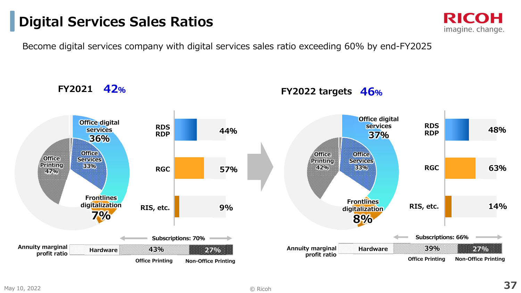### **Digital Services Sales Ratios**

Become digital services company with digital services sales ratio exceeding 60% by end-FY2025

**Office Services 33%Office Printing 47%**<u>**RGC**</u> RGC 57% 33% 33% RGC **RDS RDPRIS, etc.Annuity marginal 39%27%**<br>Office Printing Non-Office Pr **Non-Office Printing profit ratioHardware48%63%14%Office digital services 36%RGCRDS RDPRIS, etc.FY202143% 27% Non-Office PrintingFrontlines digitalization7%42%Annuity marginal profit ratio Hardware Subscriptions: 70%44%57%9%Subscriptions: 66%Office Printing Office Printing Non-Office Printing Office Services33%Office Printing 42%Office digital services 37%Frontlines digitalization8%**

#### **FY2022 targets 46%**

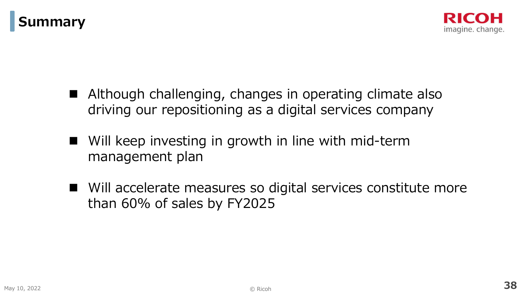



- Although challenging, changes in operating climate also driving our repositioning as a digital services company
- $\blacksquare$  Will keep investing in growth in line with mid-term management plan
- $\Box$  Will accelerate measures so digital services constitute more than 60% of sales by FY2025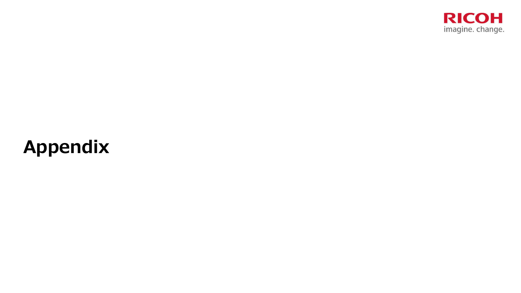

# **Appendix**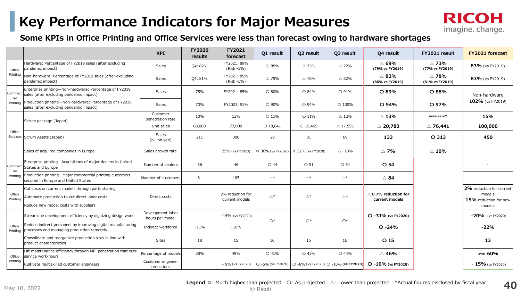### **Key Performance Indicators for Major Measures**



#### **Some KPIs in Office Printing and Office Services were less than forecast owing to hardware shortages**

|                    |                                                                                                                                             | <b>KPI</b>                           | <b>FY2020</b><br>results | <b>FY2021</b><br>forecast          | Q1 result           | Q2 result                             | 03 result          | 04 result                                                                                         | FY2021 result                      | <b>FY2021 forecast</b>                                                |  |
|--------------------|---------------------------------------------------------------------------------------------------------------------------------------------|--------------------------------------|--------------------------|------------------------------------|---------------------|---------------------------------------|--------------------|---------------------------------------------------------------------------------------------------|------------------------------------|-----------------------------------------------------------------------|--|
| Office             | Hardware: Percentage of FY2019 sales (after excluding<br>pandemic impact)                                                                   | Sales                                | Q4: 82%                  | FY2021: 89%<br>(Risk -5%)          | O 85%               | $\triangle$ 73%                       | $\triangle$ 72%    | $\triangle$ 69%<br>(79% vs FY2019)                                                                | $\triangle$ 73%<br>(77% vs FY2019) | 83% (vs FY2019)                                                       |  |
| Printing           | Non-hardware: Percentage of FY2019 sales (after excluding<br>pandemic impact)                                                               | Sales                                | Q4: 81%                  | FY2021: 85%<br>(Risk -5%)          | $\triangle$ 79%     | $\triangle$ 78%                       | △ 82%              | $\triangle$ 82%<br>(86% vs FY2019)                                                                | $\triangle$ 78%<br>(81% vs FY2019) | 83% (vs FY2019)                                                       |  |
| Commerc<br>ial     | Enterprise printing-Non-hardware: Percentage of FY2019<br>sales (after excluding pandemic impact)                                           | <b>Sales</b>                         | 75%                      | FY2021: 85%                        | O 80%               | ○ 84%                                 | ○ 91%              | O 89%                                                                                             | O 88%                              | Non-hardware                                                          |  |
| Printing           | Production printing-Non-hardware: Percentage of FY2019<br>sales (after excluding pandemic impact)                                           | Sales                                | 73%                      | FY2021: 95%                        | O 90%               | $\circ$ 94%                           | $\circ$ 100%       | O 94%                                                                                             | O 97%                              | 102% (vs FY2019)                                                      |  |
|                    | Scrum package (Japan)                                                                                                                       | Customer<br>penetration rate         | 10%                      | 13%                                | $O$ 11%             | $\circ$ 11%                           | $\triangle 12\%$   | $\triangle$ 13%                                                                                   | same as left                       | 15%                                                                   |  |
|                    |                                                                                                                                             | Unit sales                           | 68,000                   | 77,000                             | $O$ 18,641          | $O$ 19,465                            | $\triangle$ 17,555 | $\triangle$ 20,780                                                                                | $\triangle$ 76,441                 | 100,000                                                               |  |
| Office             | Services Scrum Assets (Japan)                                                                                                               | <b>Sales</b><br>(billion yen)        | 211                      | 300                                | 29                  | 81                                    | 69                 | 133                                                                                               | $O$ 313                            | 450                                                                   |  |
|                    | Sales of acquired companies in Europe                                                                                                       | Sales growth rate                    |                          | 25% (vs FY2020)                    |                     | ◎ 36% (vs FY2020)   ◎ 32% (vs FY2020) | $\triangle$ -13%   | △ 7%                                                                                              | $\triangle$ 10%                    |                                                                       |  |
| ial                | Enterprise printing-Acquisitions of major dealers in United<br>Commerc States and Europe                                                    | Number of dealers                    | 36                       | 46                                 | $\bigcirc$ 44       | $\circ$ 51                            | O 54               | O <sub>54</sub>                                                                                   |                                    |                                                                       |  |
| Printina           | Production printing-Major commercial printing customers<br>secured in Europe and United States                                              | Number of customers                  | 81                       | 105                                | $-*$                | $-\ast$                               | $-*$               | $\triangle$ 84                                                                                    |                                    |                                                                       |  |
| Office<br>Printina | Cut costs on current models through parts sharing<br>Automate production to cut direct labor costs<br>Reduce new model costs with suppliers | Direct costs                         |                          | 2% reduction for<br>current models | $\wedge^*$          | $\triangle^*$                         | $\bigtriangleup^*$ | $\land$ 0.7% reduction for<br>current models                                                      |                                    | 2% reduction for current<br>models<br>15% reduction for new<br>models |  |
|                    | Streamline development efficiency by digitizing design work                                                                                 | Development labor<br>hours per model |                          | -14% (vs FY2020)                   |                     |                                       |                    | O -31% (vs FY2020)                                                                                |                                    | $-20\%$ (vs FY2020)                                                   |  |
| Office<br>Printing | Reduce indirect personnel by improving digital manufacturing<br>processes and managing production remotely                                  | Indirect workforce                   | $-11%$                   | $-16%$                             | $\circlearrowright$ | $O*$                                  | $O*$               | $O - 24%$                                                                                         |                                    | $-22%$                                                                |  |
|                    | Consolidate and reorganize production sites in line with<br>product characteristics                                                         | <b>Sites</b>                         | 18                       | 15                                 | 16                  | 16                                    | 16                 | O <sub>15</sub>                                                                                   |                                    | 13                                                                    |  |
| Office             | Lift maintenance efficiency through MIF penetration that cuts<br>service work-hours                                                         | Percentage of models                 | 38%                      | 49%                                | O 41%               | O 43%                                 | O 44%              | $\triangle$ 46%                                                                                   |                                    | over 60%                                                              |  |
| Printing           | Cultivate multiskilled customer engineers                                                                                                   | Customer engineer<br>reductions      |                          | - 9% (vs FY2020)                   |                     |                                       |                    | $\circ$ -5% (vs FY2020) $\circ$ -8% (vs FY2020) $\circ$ -10% (vs FY2020) $\circ$ -10% (vs FY2020) |                                    | $-15\%$ (vs FY2020)                                                   |  |

**<sup>40</sup>Legend** ◎: Much higher than projected 〇: As projected △: Lower than projected \*Actual figures disclosed by fiscal year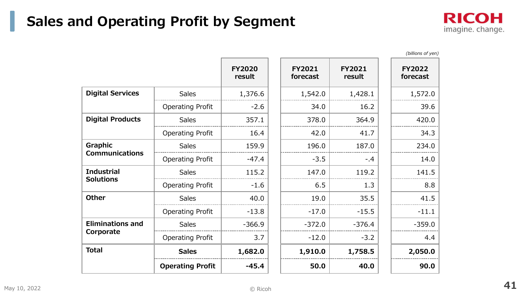### **Sales and Operating Profit by Segment**



*(billions of yen)*

|                                       |                         | <b>FY2020</b><br>result | <b>FY2021</b><br>forecast | <b>FY2021</b><br>result | <b>FY2022</b><br>forecast |
|---------------------------------------|-------------------------|-------------------------|---------------------------|-------------------------|---------------------------|
| <b>Digital Services</b>               | <b>Sales</b>            | 1,376.6                 | 1,542.0                   | 1,428.1                 | 1,572.0                   |
|                                       | <b>Operating Profit</b> | $-2.6$                  | 34.0                      | 16.2                    | 39.6                      |
| <b>Digital Products</b>               | <b>Sales</b>            | 357.1                   | 378.0                     | 364.9                   | 420.0                     |
|                                       | <b>Operating Profit</b> | 16.4                    | 42.0                      | 41.7                    | 34.3                      |
| Graphic                               | <b>Sales</b>            | 159.9                   | 196.0                     | 187.0                   | 234.0                     |
| <b>Communications</b>                 | <b>Operating Profit</b> | $-47.4$                 | $-3.5$                    | $-.4$                   | 14.0                      |
| <b>Industrial</b><br><b>Solutions</b> | <b>Sales</b>            | 115.2                   | 147.0                     | 119.2                   | 141.5                     |
|                                       | <b>Operating Profit</b> | $-1.6$                  | 6.5                       | 1.3                     | 8.8                       |
| <b>Other</b>                          | <b>Sales</b>            | 40.0                    | 19.0                      | 35.5                    | 41.5                      |
|                                       | <b>Operating Profit</b> | $-13.8$                 | $-17.0$                   | $-15.5$                 | $-11.1$                   |
| <b>Eliminations and</b>               | <b>Sales</b>            | $-366.9$                | $-372.0$                  | $-376.4$                | $-359.0$                  |
| Corporate                             | <b>Operating Profit</b> | 3.7                     | $-12.0$                   | $-3.2$                  | 4.4                       |
| <b>Total</b>                          | <b>Sales</b>            | 1,682.0                 | 1,910.0                   | 1,758.5                 | 2,050.0                   |
|                                       | <b>Operating Profit</b> | $-45.4$                 | 50.0                      | 40.0                    | 90.0                      |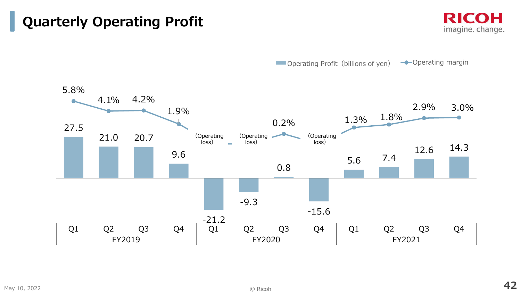### **Quarterly Operating Profit**

**RICOH** imagine. change.

**Operating Profit (billions of yen) -**Operating margin

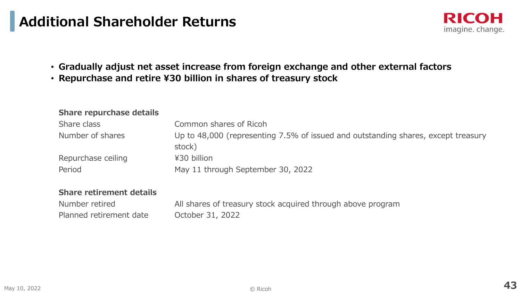### **Additional Shareholder Returns**

- **Gradually adjust net asset increase from foreign exchange and other external factors**
- **Repurchase and retire ¥30 billion in shares of treasury stock**

#### **Share repurchase details**

| Share class        | Common shares of Ricoh                                                            |
|--------------------|-----------------------------------------------------------------------------------|
| Number of shares   | Up to 48,000 (representing 7.5% of issued and outstanding shares, except treasury |
|                    | stock)                                                                            |
| Repurchase ceiling | ¥30 billion                                                                       |
| Period             | May 11 through September 30, 2022                                                 |
|                    |                                                                                   |

#### **Share retirement details**

| Number retired          | All shares of treasury stock acquired through above program |
|-------------------------|-------------------------------------------------------------|
| Planned retirement date | October 31, 2022                                            |